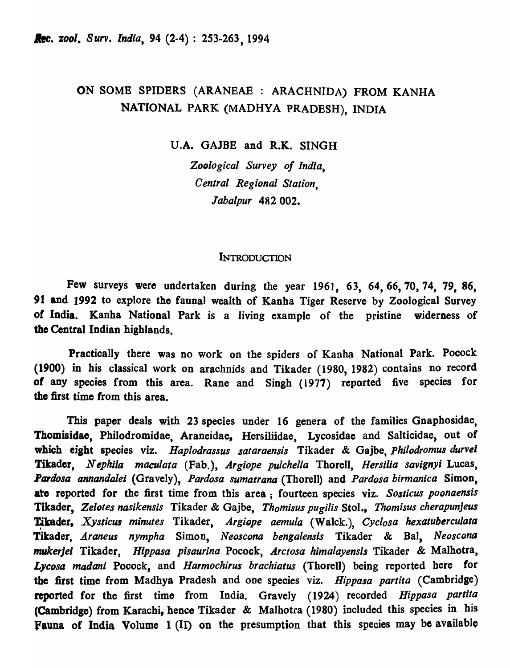# ON SOME SPIDBRS (ARANEAE : ARACHNIDA) FROM KANHA NATIONAL PARK (MADHYA PRADESH), INDIA

V.A. GAJBE and R.K. SINGH

*Zoological Survey of India, Central Regional Station, labalpur* 482 002.

# **INTRODUCTION**

Few surveys were undertaken during the year 1961, 63, 64, 66, 70, 74, 79, 86, 91 and 1992 to explore the faunal wealth of Kanba Tiger Reserve by Zoological Survey of India. Kanha National Park is a living example of the pristine widerness of the Central Indian highlands,

Practically there was no work on the spiders of Kanha National Park. Pocock (1900) in his classical work on arachnids and Tikader (1980, 1982) contains no' record of any species from this area. Rane and Singh (1977) reported five species for the first time from this area.

This paper deals with 23 species under 16 genera of the families Gnaphosidae, Thomisidae, Philodromidae, Araneidae, Hersiliidae, Lycosidae and Salticidae, out of which eight species viz. *Haplodrassus sataraensis* Tikader & Gajbe, *philodromus durvel*  Tikader, Nephila maculata (Fab.), *Argiope pulchella* Thorell, *Hersilia savignyi* Lucas, **Pardosa annandalei** (Gravely), *Pardosa sumatrana* (Thorell) and *Pardosa birmanica* Simon, ate reported for the first time from this area; fourteen species viz. *Sosticus poonaensis*  Tikader, *Zelotes nasikensis* Tikader & Gajbe, *Thomisus pugilis* Stol., *Thomisus cherapunjeus*  Tikader, *Xysticus minutes* Tikader, *Argiope aemula* (Walck.), *Cyclosa hexatuberculata* Tikader, *Araneus nympha* Simon, *Neoscona bengalensis* Tikader & Bal, *Neoscona mukerjel* Tikader, *Hippasa pisaurina* Pocock, *A.rctosa himalayensis* Tikader & Malhotra, *Lycosa madani* Pocock, and *Harmochirus brachiatus* (Thorell) being reported here for the first time from Madhya Pradesh and one species viz. *Hippasa partita* (Cambridge) reported for the first time from India. Gravely (1924) recorded *Hippasa parlila*  (Cambridge) from Karachi, hence Tikader & Malhotra (1980) included this species in his fauna of India Volume 1 (II) on the presumption that this species may be available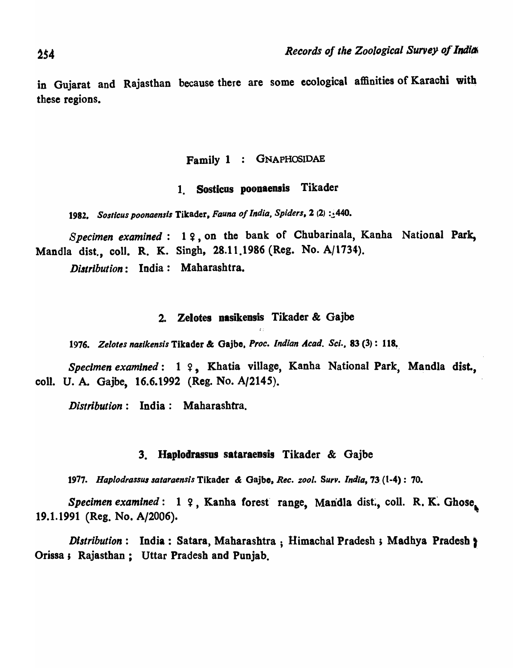in Gujarat and Rajasthan because there are some ecological affinities of Karachi with these regions.

# Family 1 : GNAPHOSIDAE

# 1. Sosticus poonaensis Tikader

1982. Sosticus poonaensis Tikader, *Fauna of India*, Spiders, 2 (2) :.440.

*Specimen examined*: 19, on the bank of Chubarinala, Kanha National Park, Mandla dist., coli. R. K. Singh, 28.11.1986 (Reg. No. A/1734). *Diltribution:* India: Maharashtra.

#### 2. Zelotes nasikensis Tikader & Gajbe

1976. Zelotes nasikensis Tikader & Gajbe, Proc. Indian Acad. Sci., 83 (3): 118.

*Specimen examined*: 1 ?, Khatia village, Kanha National Park, Mandla dist. coli. U. A. Gajbe, 16.6.1992 (Reg. No. *A/214S).* 

*Distribution:* India: Maharashtra.

#### 3. Haplodrassus sataraensis Tikader & Gajbe

*1977. Hapiodrassulsataraensis* Tikader &: Gajbe, R~c. *zool. Surv. India,* 73. (t-4): 70.

*Specimen examined*: 1 ?, Kanha forest range, Mandla dist., coll. R. K. Ghose, 19.1.1991 (Reg. No. A/2006). '

*Distribution*: India: Satara, Maharashtra ; Himachal Pradesh ; Madhya Pradesh ; Orissa i Rajasthan; Uttar Pradesh and Punjab.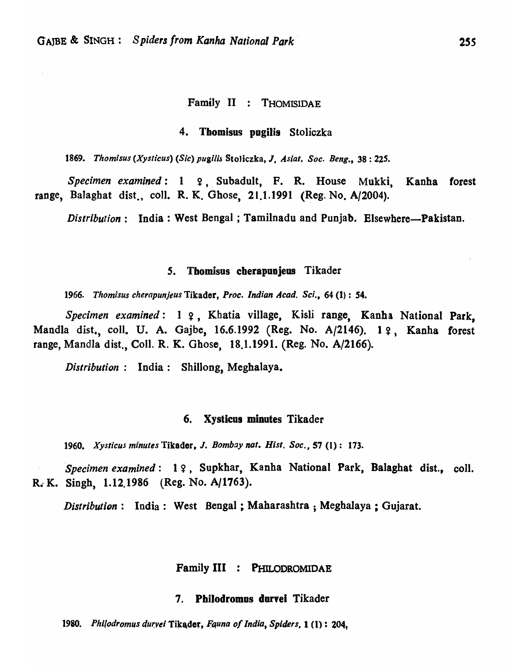# Family II : THOMISIDAE

#### 4. Tbomisus pogilis Stoliczka

*1869. Thomisus (Xysticus) (Sic)* pugi/;~ StoJiczka, J, A *sial. Soc. Beng.,* 38 : *22S.* 

*Specimen examined:* 1 ?, Subadult, F. R. House Mukki, Kanha forest range, Balaghat dist., coll. R. K. Ghose, 21.1.1991 (Reg. No. A/2004).

*Distribution*: India: West Bengal; Tamilnadu and Punjab. Elsewhere—Pakistan.

#### *s.* Tbomisus cberapuojeus Tikader

*1966. Thomisus chernpunjeus* Tikader, *Proc. Indian* A *cad. Sci.,* 64 (I) : 54.

Specimen examined: 1 ?, Khatia village, Kisli range, Kanha National Park, Mandla dist., coll. U. A. Gajbe, 16.6.1992 (Reg. No. A/2146). 19. Kanha forest range, Mandla dist., Coll. R. K. Ghose, 18.1.1991. (Reg. No. A/2166).

*Distribution:* India: Shillong, Meghalaya.

#### 6. Xysticus minutes Tikader

*1960. Xysticus minutes* Tikader, J. *Bombay nat. Hisl. Soc.,* 57 (1): 173.

*Specimen examined*: 19, Supkhar, Kanha National Park, Balaghat dist., coll. R. K. Singh, 1.12.1986 (Reg. No. A/1763).

*Distribution:* India: West Bengal; Maharashtra ; Megbalaya ; Gujarat.

#### Family III : PHILODROMIDAE

#### 7. PbiJodromos durvei Tikader

1980. Philodromus durvei Tikader, *Fauna of India*, *Spiders*, **1**(1): 204,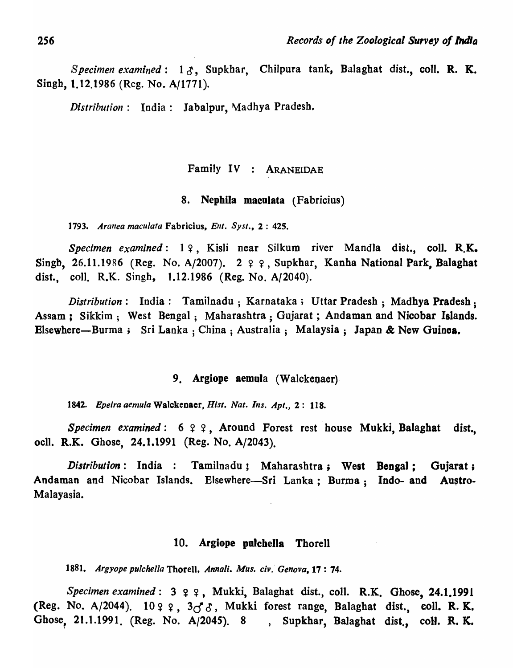*Specimen examined*: 13, Supkhar, Chilpura tank, Balaghat dist., coll. R. K. Singh, 1.12.1986 (Reg. No. A/1771).

*Distribution*: India: Jabalpur, Madhya Pradesh.

# Family IV : ARANEIDAE

#### 8. Nephila maculata (Fabricius)

*1793. Aranea maculata* Fabricius, *Enl. Sysl.,* 2 : 425.

*Specimen examined*: 19, Kisli near Silkum river Mandla dist., coll. R.K. Singb, 26.11.1986 (Reg. No. A/2007). 2  $99$ , Supkhar, Kanha National Park, Balaghat dist., coll. R.K. Singh, 1.12.1986 (Reg. No. A/2040).

*Distribution*: India: Tamilnadu; Karnataka; Uttar Pradesh; Madhya Pradesh; Assam ; Sikkim; West Bengal; Maharashtra: Gujarat; Andaman and Nicobar Islands. Elsewhere-Burma; Sri Lanka ; China; Australia; Malaysia; Japan & New Guinea.

# 9. Argiope aemula (Walckenaer).

*1842. Epeira aemula* Walckenaer, *Hisl. Nat. Ins. Apt.,* 2: 118.

*Specimen examined*: 6  $9$   $9$ , Around Forest rest house Mukki, Balaghat dist. ocll. R.K. Ghose, 24.1.1991 (Reg. No. A/2043).

*Distribution*: India : Tamilnadu; Maharashtra; West Bengal; Gujarat; Andaman and Nicobar Islands. Elsewhere-Sri Lanka; Burma; Indo- and Austro-Malayasia.

#### 10. Argiope polchella Thorell

1881. Argyope pulchella Thorell, *Annali. Mus. civ. Genova*, 17: 74.

*Specimen examined*:  $3 \varphi \varphi$ , Mukki, Balaghat dist., coll. R.K. Ghose, 24.1.1991 (Reg. No. A/2044).  $10 q q$ ,  $3d^2$ , Mukki forest range, Balaghat dist., coll. R. K. Ghose, 21.1.1991. (Reg. No. A/2045). 8 , Supkhar, Balaghat dist., coll. R. K.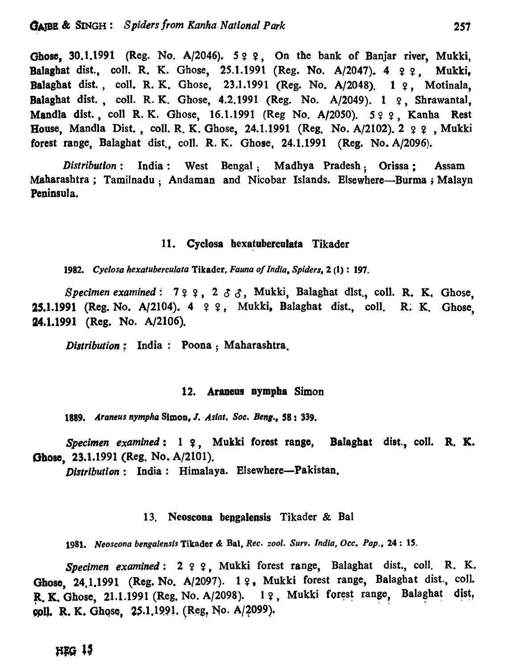Ghose, 30.1.1991 (Reg. No. A/2046). 5 ° °; On the bank of Banjar river, Mukki, Balaghat dist., coll. R. K. Ghose, 25.1.1991 (Reg. No. A/2047).  $4 \t9 \t9$ . Mukki, Balaghat dist., coll. R. K. Ghose, 23.1.1991 (Reg. No. A/2048). 1 2, Motinala, Balaghat dist., coll. R. K. Ghose, 4.2.1991 (Reg. No.  $A/2049$ ). 1  $9$ , Shrawantal, Mandla dist., coll R. K. Ghose, 16.1.1991 (Reg No. A/2050). 599, Kanha Rest House, Mandla Dist., coll. R. K. Ghose, 24.1.1991 (Reg. No. A/2102).  $2 \varphi$ , Mukki forest range, Balaghat dist., coll. R. K. Ghose, 24.1.1991 (Reg. No. A/2096).

*Distribution*: India: West Bengal: Madhya Pradesh: Orissa: Assam Maharashtra; Tamilnadu; Andaman and Nicobar Islands. Elsewhere—Burma; Malayn Peninsula.

#### 11. Cyclosa hexatuberculata Tikader

*1982. Cyclosa hexatuberculata* Tikader, *Fauna of India. Spiders,* 2 (1): 197.

*Specimen examined:*  $799, 288$ , Mukki, Balaghat dlst., coll. R. K. Ghose, 25.1.1991 (Reg. No. A/2104). 4 ? ?, Mukki, Balaghat dist., coll. R. K. Ghose. 24.1.1991 (Reg. No. A/2106).

*Distribution*: India: Poona; Maharashtra.

# 12. Araneus nympha Simon

1889. *Araneus nympha Simon, J. Aslat. Soc. Beng.*, **58**: 339.

Specimen examined: 1 ?, Mukki forest range, Balaghat dist., coll. R. K. Ghose, 23.1.1991 (Reg. No. A/2101).

Distribution: India: Himalaya. Elsewhere-Pakistan.

#### 13. Neoscona bengalensis Tikader  $\&$  Bal

*1981. Neoscona benga/ensis* Tikader & Bal, *Ree. zool. Surv. India, Oee. Pap.,* 24: *IS.* 

*Specimen examined*: 2 ? ?. Mukki forest range. Balaghat dist., coll. R. K. Ghose, 24.1.1991 (Reg. No. A/2097).  $1 \, \varphi$ , Mukki forest range, Balaghat dist., coll. R. K. Ghose, 21.1.1991 (Reg. No. A/2098). 1 ?, Mukki forest range, Balaghat dist,  $~$  coll. R. K. Ghose, 25.1.1991. (Reg. No. A/2099).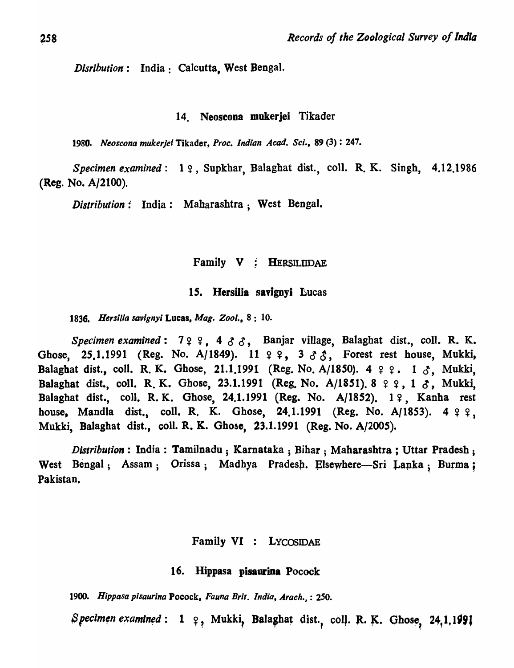*Disribution*: India: Calcutta, West Bengal.

#### 14. Neoscona mukerjei Tikader

*1980. Neoscona mukerJei* Tikader, *Proc. Indian A cad. Sci .•* 89 (3) : 247.

Specimen examined: 1  $\varphi$ , Supkhar, Balaghat dist., coll. R. K. Singh, 4.12.1986 (Reg. No. A/2100).

*Distribution:* India: Mabarashtra; West Bengal.

Family V ; HERSILUDAE

#### 15. Hersilia savignyi Lucas

*1836. Hersi/ia savignyi* Lucas. *Mag. Zoo/.,* 8: 10.

*Specimen examined:*  $7 \times 4$ ,  $4 \times 3$ , Banjar village, Balaghat dist., coll. R. K. Ghose, 25.1.1991 (Reg. No. A/1849). 11  $99, 333,$  Forest rest house, Mukki, Balaghat dist., coll. R. K. Ghose, 21.1.1991 (Reg. No. A/1850). 4  $\varphi$   $\varphi$ . 1  $\delta$ , Mukki, Balaghat dist., coll. R. K. Ghose, 23.1.1991 (Reg. No. A/1851). 8 9 9, 1  $\delta$ , Mukki, Balaghat dist., coll. R. K. Ghose, 24.1.1991 (Reg. No. A/1852). 19, Kanha rest house, Mandla dist., coll. R. K. Ghose, 24.1.1991 (Reg. No. A/1853).  $4 \t9 \t9$ , Mukki, Balaghat dist., coli. R. K. Gbose, 23.1.1991 (Reg. No. *A/200S).* 

*Distribution*: India: Tamilnadu; Karnataka; Bihar; Maharashtra; Uttar Pradesh; West Bengal; Assam; Orissa; Madhya Pradesh. Elsewhere-Sri Lanka; Burma; Pakistan.

#### Family VI : LYCOSIDAE

#### 16. Hippasa pisauriaa Pocock

*1900. Hippasa pisaurina* Pocock, *Fauna Brit. India,* Arach.~ : 250.

Specimen examined: 1 9, Mukki, Balaghat dist., coll. R. K. Ghose, 24,1.1991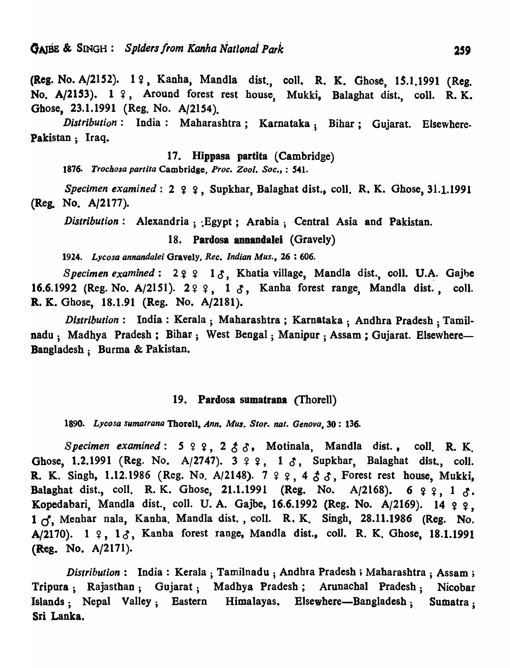(Reg. No. A/2152). 1 ?, Kanha, Mandla dist., coll. R. K. Ghose, 15.1.1991 (Reg. No. A/2153). 1 ?, Around forest rest house, Mukki, Balaghat dist., coll. R.K. Ghose, 23.1.1991 (Reg. No. *A/21S4).* 

*Distribution:* India: Maharashtra; Karnataka; Bihar; Gujarat. Elsewhere-Pakistan; Iraq.

# 17. Hippasa partita (Cambridge)

1876. Trochosa partita Cambridge, Proc. Zool. Soc., : 541.

*Specimen examined*: 2  $\varphi$   $\varphi$ , Supkhar, Balaghat dist., coll. R. K. Ghose, 31.1.1991 (Reg. No. A/2177).

*Distribution*: Alexandria; Egypt; Arabia; Central Asia and Pakistan.

18. Pardosa annandalei (Gravely)

*1924. Lycosa annandale;* Gravely~ *Rec. Indian Mus.,* 26 : 606.

*Specimen examined*:  $29$   $9$   $13$ , Khatia village, Mandla dist., coll. U.A. Gajbe 16.6.1992 (Reg. No. A/2151). 2 º º, 1  $\delta$ , Kanha forest range, Mandla dist., coll. R. K. Ghose, 18.1.91 (Reg. No. A/218l).

*Distribution:* India: Kerala; Maharashtra; Karnataka; Andhra Pradesh; Tamilnadu: Madhya Pradesh; Bihar; West Bengal; Manipur; Assam; Gujarat. Elsewhere-Bangladesh; Burma & Pakistan.

### 19. Pardosa sumatrana (Thorell)

*1890. Lycosa sumatrana* Thorell. *Ann. MUI. Store nat. Gen()va,* 30: 136.

*Specimen examined:*  $5 \t9 \t9$ ,  $2 \t8 \t3$ , Motinala, Mandla dist., coll. R. K. Ghose, 1.2.1991 (Reg. No. A/2747).  $3 \t9 \t9$ ,  $1 \t{3}$ , Supkhar, Balaghat dist., coll. R. K. Singh, 1.12.1986 (Reg. No. A/2148).  $7 \t9 \t9$ ,  $4 \t5 \t3$ , Forest rest house, Mukki, Balaghat dist., coll. R. K. Ghose, 21.1.1991 (Reg. No. A/2168). 6  $9$   $9$ , 1  $8$ . Kopedabari, Mandla dist., coll. U.A. Gajbe, 16.6.1992 (Reg. No. A/2169). 14 ? ?, 1  $\sigma$ . Menhar nala, Kanha. Mandla dist., coll. R. K. Singh, 28.11.1986 (Reg. No. A/2170). 1  $\varphi$ , 1 $\varphi$ , Kanha forest range, Mandla dist., coll. R. K. Ghose, 18.1.1991 (Reg. No. A/2171).

*Distribution*: India: Kerala; Tamilnadu; Andhra Pradesh; Maharashtra; Assam; Tripara; Rajasthan; Gujarat; Madhya Pradesh; Arunachal Pradesh; Nicobar Islands; Nepal Valley; Eastern Himalayas. Elsewhere-Bangladesh; Sumatra; Sri Lanka.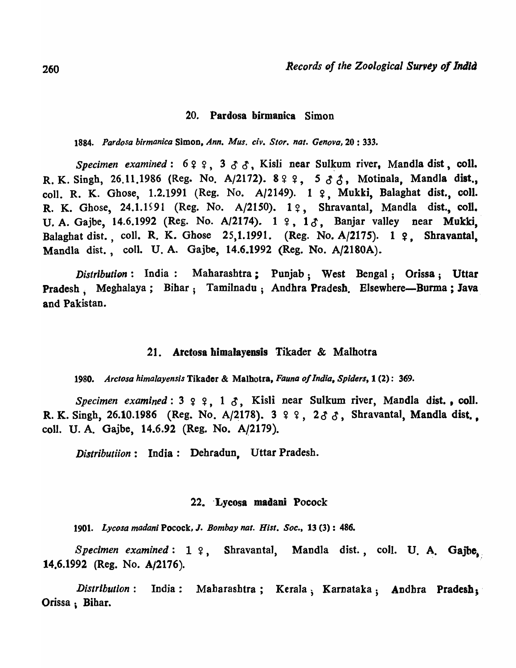#### 20. Pardosa birmanica Simon

*1884. Pardosa birmanica* Simon, *Ann. Mus. civ. Store nal. Genova,* 20 : 333.

*Specimen examined*:  $699, 333$ , Kisli near Sulkum river, Mandla dist, coll. R. K. Singh, 26.11.1986 (Reg. No. A/2172).  $899, 533,$  Motinala, Mandla dist., coll. R. K. Ghose, 1.2.1991 (Reg. No. A/2149). 1 ?. Mukki, Balaghat dist., coll. R. K. Ghose, 24.1.1991 (Reg. No. A/2150). 19, Shravantal, Mandla dist., coll. U. A. Gajbe, 14.6.1992 (Reg. No. A/2174).  $1 \t9$ ,  $10$ , Banjar valley near Mukki, Balaghat dist., coll. R. K. Ghose  $25,1.1991$ . (Reg. No. A/2175). 1  $9$ . Shravantal, Mandla dist., coil. U. A. Gajbe, 14.6.1992 (Reg. No. A/2180A).

*Distribution:* India: Maharashtra ; Punjab; West Bengal; Orissa; Uttar Pradesh; Meghalaya; Bihar; Tamilnadu; Andhra Pradesh. Elsewhere—Burma; Java and Pakistan.

# 21. Arctosa himalayensis Tikader & Malhotra

*1980. Arctosa himalayensis* Tikader & Malhotra, *Fauna o/India, Spiders,* 1 (2): 369.

*Specimen examined*:  $3 \times 2$ ,  $1 \times 5$ , Kisli near Sulkum river, Mandla dist., coll. R. K. Singh, 26.10.1986 (Reg. No. A/2178).  $3 \t9 \t9$ ,  $2 \t{3} \t{3}$ , Shravantal, Mandla dist. coli. U. A. Gajbe, 14.6.92 (Reg. No. A/2179).

*Distributiion:* India: Dehradun, Uttar Pradesh.

#### 22. Lycosa madani Pocock

*1901. Lycosa madan;* Pocock, J. *Bombay nat. Hisl. Soc.,* 13 (3) : 486.

Specimen examined: 1 ?, Shravantal, Mandla dist., coll. U. A. Gajbe. 14.6.1992 (Reg. No. A/2176).

*Distribution* : India: Mabarashtra; Kerala; Karnataka; Andhra Pradesh;' Orissa ; Bihar.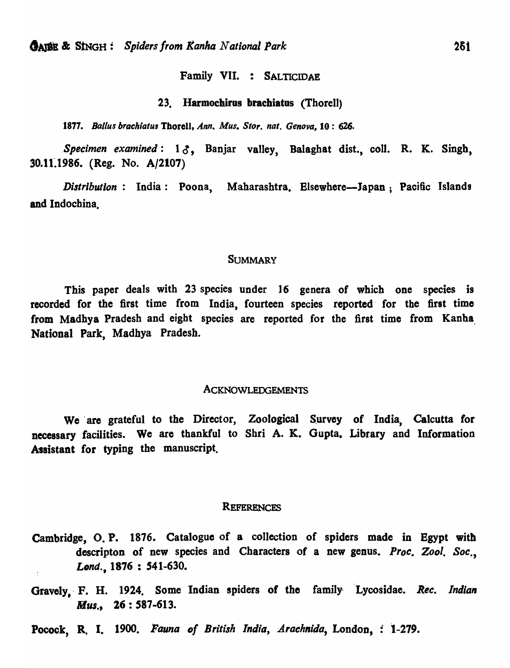# Family VII. : SALTICIDAE

#### 23. Harmochirus brachiatus (Thorell)

1877. Ballus brachiatus Thorell, Ann. Mus. Stor. nat. Genova. 10: 626.

Specimen examined: 13, Banjar valley, Balaghat dist., coll. R. K. Singh, 30.11~1986. (Reg. No. A/2107)

*Distribution*: India: Poona, Maharashtra, Elsewhere-Japan; Pacific Islands and Indochina.

#### **SUMMARY**

This paper deals with 23 species under 16 genera of which one species is recorded for the first time from India, fourteen species reported for the first time from Madhya Pradesh and eight species are reported for the first time from Kanha National Park, Madhya Pradesh.

#### ACKNOWLEDGEMENTS

We are grateful to the Director, Zoological Survey of India, Calcutta for necessary facilities. We are thankful to Shri A. K. Gupta. Library and Information Assistant for typing the manuscript.

#### **REFERENCES**

- Cambridge, O. P. 1876. Catalogue of a collection of spiders made in Egypt witb descripton of new species and Characters of a new genus. *Proc. Zool. Soc.*, *Lond.,* 1876 : 541-630.
- Gravely, F. H. 1924. Some Indian spiders of the family Lycosidae. *Rec. Indian Mus.,* 26: 587-613.
- Pocock, R. I. 1900. *Fauna of British India, Arachnida*, London, : 1-279.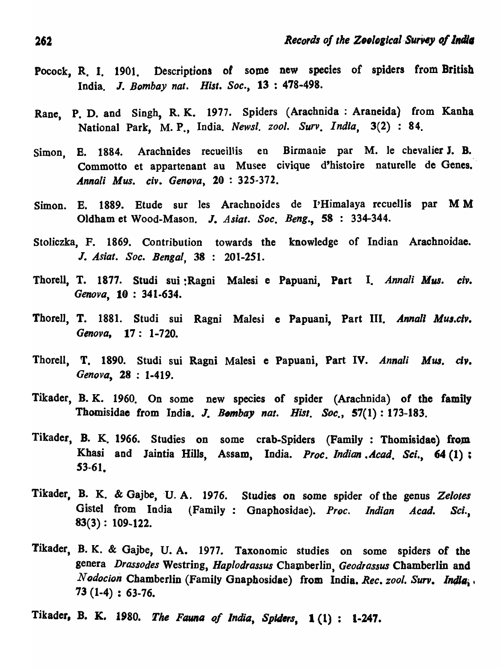- Pocock, R. I. 1901. Descriptions of some new species of spiders from British India. J. Bombay nat. Hist. Soc., 13: 478-498.
- Rane, P. D. and Singh, R. K. 1977. Spiders (Arachnida: Araneida) from Kanha National Park, M. P., India. *Newsl. zool. Surv. India*, 3(2) : 84.
- Simon, E. 1884. Arachnides recueillis en Birmanie par M. le chevalier J. B. Commotto et appartenant au Musee civique d'histoire naturelle de Genes. *Annali Mus. civ. Genova, 20:325-372.*
- Simon. E. 1889. Etude sur Ies Arachnoides de I'Himalaya recuellis par M M Oldham et Wood-Mason. J. Asiat. Soc. Beng., 58 : 334-344.
- Stoliczka, F. 1869. Contribution towards the knowledge of Indian Arachnoidae. J. *Asiat. Soc. Bengal, 38*  201-251.
- Thorell, T. 1877. Studi sui :Ragni Malesi e Papuani, Part I. *Annali Mus. eiv. Genova,* 10 : 341-634.
- Thorell, T. 1881. Studi sui Ragni Malesi e Papuani, Part III. *Annal' Mus.clv. Genova,* 17: *1-720.*
- Thorell, T. *1890.* Studi sui Ragni Malesi e Papuani, Part IV. *Annali Mus. dv. Genova,* 28 : 1·419.
- Tikader, B. K. 1960. On some new species of spider (Arachnida) of the family Thomisidae from India. J. *Bombay nat. Hist. Soc.*, 57(1): 173-183.
- Tikader, B. K. 1966. Studies on some crab-Spiders (Family: Thomisidae) from Khasi and Jaintia Hills, Assam, India. Proc. Indian . Acad. Sci., 64 (1) ;  $53 - 61.$
- Tikader, B. K. & Gajbe, U. A. 1976. Studies on some spider of the genus Zelotes Gistel from India (Family: Gnaphosidae). Proc. *Indian Acad*. Sci.,  $83(3): 109-122.$
- Tikader, B. K. & Gajbe, U. A. 1977. Taxonomic studies on some spiders of the genera *Drassodes* Westring, *Haplodrassus* Chamberlin, *Geodrassus* Chamberlin and *Nodocion* Chamberlin (Family Gnaphosidae) from India. *Rec. zool. Surv. India*,. 73 (1-4) : 63-76.
- Tikader, B. K. 1980. The Fauna of India, Spiders, 1(1): 1-247.